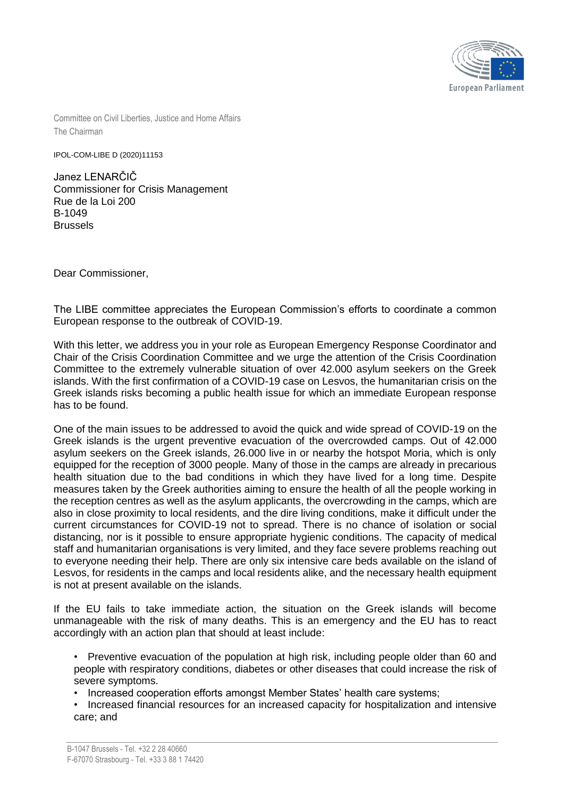

Committee on Civil Liberties, Justice and Home Affairs The Chairman

IPOL-COM-LIBE D (2020)11153

Janez LENARČIČ Commissioner for Crisis Management Rue de la Loi 200 B-1049 Brussels

Dear Commissioner,

The LIBE committee appreciates the European Commission's efforts to coordinate a common European response to the outbreak of COVID-19.

With this letter, we address you in your role as European Emergency Response Coordinator and Chair of the Crisis Coordination Committee and we urge the attention of the Crisis Coordination Committee to the extremely vulnerable situation of over 42.000 asylum seekers on the Greek islands. With the first confirmation of a COVID-19 case on Lesvos, the humanitarian crisis on the Greek islands risks becoming a public health issue for which an immediate European response has to be found.

One of the main issues to be addressed to avoid the quick and wide spread of COVID-19 on the Greek islands is the urgent preventive evacuation of the overcrowded camps. Out of 42.000 asylum seekers on the Greek islands, 26.000 live in or nearby the hotspot Moria, which is only equipped for the reception of 3000 people. Many of those in the camps are already in precarious health situation due to the bad conditions in which they have lived for a long time. Despite measures taken by the Greek authorities aiming to ensure the health of all the people working in the reception centres as well as the asylum applicants, the overcrowding in the camps, which are also in close proximity to local residents, and the dire living conditions, make it difficult under the current circumstances for COVID-19 not to spread. There is no chance of isolation or social distancing, nor is it possible to ensure appropriate hygienic conditions. The capacity of medical staff and humanitarian organisations is very limited, and they face severe problems reaching out to everyone needing their help. There are only six intensive care beds available on the island of Lesvos, for residents in the camps and local residents alike, and the necessary health equipment is not at present available on the islands.

If the EU fails to take immediate action, the situation on the Greek islands will become unmanageable with the risk of many deaths. This is an emergency and the EU has to react accordingly with an action plan that should at least include:

• Preventive evacuation of the population at high risk, including people older than 60 and people with respiratory conditions, diabetes or other diseases that could increase the risk of severe symptoms.

• Increased cooperation efforts amongst Member States' health care systems;

• Increased financial resources for an increased capacity for hospitalization and intensive care; and